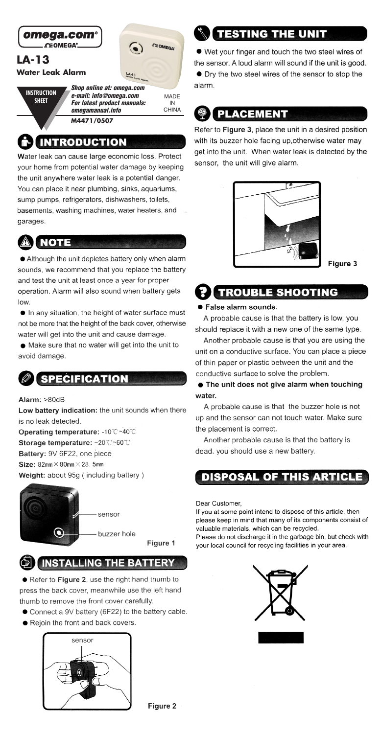

CHINA omegamanual.info

M4471/0507

## **INTRODUCTION**

Water leak can cause large economic loss. Protect your home from potential water damage by keeping the unit anywhere water leak is a potential danger. You can place it near plumbing, sinks, aquariums, sump pumps, refrigerators, dishwashers, toilets. basements, washing machines, water heaters, and garages.



Although the unit depletes battery only when alarm sounds, we recommend that you replace the battery and test the unit at least once a year for proper operation. Alarm will also sound when battery gets  $low$ 

In any situation, the height of water surface must not be more that the height of the back cover, otherwise water will get into the unit and cause damage.

· Make sure that no water will get into the unit to avoid damage.

## **SPECIFICATION**

Alarm: >80dB

Low battery indication: the unit sounds when there is no leak detected.

Operating temperature: -10°C ~40°C Storage temperature: -20°C~60°C Battery: 9V 6F22, one piece Size:  $82mm \times 80mm \times 28$ . 5mm Weight: about 95g (including battery)



sensor

buzzer hole Figure 1

## **SI INSTALLING THE BATTERY**

Refer to Figure 2, use the right hand thumb to press the back cover, meanwhile use the left hand thumb to remove the front cover carefully.

- Connect a 9V battery (6F22) to the battery cable.
- Rejoin the front and back covers.



# **TESTING THE UNIT**

● Wet your finger and touch the two steel wires of the sensor. A loud alarm will sound if the unit is good. • Dry the two steel wires of the sensor to stop the alarm.

## **@ PLACEMENT**

Refer to Figure 3, place the unit in a desired position with its buzzer hole facing up, otherwise water may get into the unit. When water leak is detected by the sensor, the unit will give alarm.



Figure 3

## **TROUBLE SHOOTING**

### ● False alarm sounds.

A probable cause is that the battery is low, you should replace it with a new one of the same type.

Another probable cause is that you are using the unit on a conductive surface. You can place a piece of thin paper or plastic between the unit and the conductive surface to solve the problem.

### • The unit does not give alarm when touching water

A probable cause is that the buzzer hole is not up and the sensor can not touch water. Make sure the placement is correct.

Another probable cause is that the battery is dead, you should use a new battery.

### **DISPOSAL OF THIS ARTICLE**

Dear Customer

If you at some point intend to dispose of this article, then please keep in mind that many of its components consist of valuable materials, which can be recycled. Please do not discharge it in the garbage bin, but check with your local council for recycling facilities in your area.